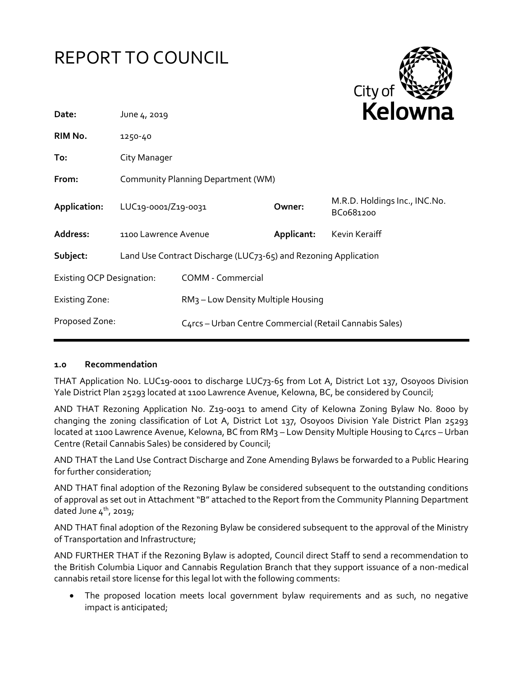# REPORT TO COUNCIL



| Date:                            | June 4, 2019                                                    |                                                         |            | <b>NEIUWII</b> d                           |  |
|----------------------------------|-----------------------------------------------------------------|---------------------------------------------------------|------------|--------------------------------------------|--|
| RIM No.                          | 1250-40                                                         |                                                         |            |                                            |  |
| To:                              | City Manager                                                    |                                                         |            |                                            |  |
| From:                            | Community Planning Department (WM)                              |                                                         |            |                                            |  |
| Application:                     | LUC19-0001/Z19-0031                                             |                                                         | Owner:     | M.R.D. Holdings Inc., INC.No.<br>BCo681200 |  |
| Address:                         | 1100 Lawrence Avenue                                            |                                                         | Applicant: | Kevin Keraiff                              |  |
| Subject:                         | Land Use Contract Discharge (LUC73-65) and Rezoning Application |                                                         |            |                                            |  |
| <b>Existing OCP Designation:</b> |                                                                 | <b>COMM - Commercial</b>                                |            |                                            |  |
| <b>Existing Zone:</b>            |                                                                 | RM <sub>3</sub> – Low Density Multiple Housing          |            |                                            |  |
| Proposed Zone:                   |                                                                 | C4rcs - Urban Centre Commercial (Retail Cannabis Sales) |            |                                            |  |
|                                  |                                                                 |                                                         |            |                                            |  |

#### **1.0 Recommendation**

THAT Application No. LUC19-0001 to discharge LUC73-65 from Lot A, District Lot 137, Osoyoos Division Yale District Plan 25293 located at 1100 Lawrence Avenue, Kelowna, BC, be considered by Council;

AND THAT Rezoning Application No. Z19-0031 to amend City of Kelowna Zoning Bylaw No. 8000 by changing the zoning classification of Lot A, District Lot 137, Osoyoos Division Yale District Plan 25293 located at 1100 Lawrence Avenue, Kelowna, BC from RM3 - Low Density Multiple Housing to C4rcs - Urban Centre (Retail Cannabis Sales) be considered by Council;

AND THAT the Land Use Contract Discharge and Zone Amending Bylaws be forwarded to a Public Hearing for further consideration;

AND THAT final adoption of the Rezoning Bylaw be considered subsequent to the outstanding conditions of approval as set out in Attachment "B" attached to the Report from the Community Planning Department dated June  $4<sup>th</sup>$ , 2019;

AND THAT final adoption of the Rezoning Bylaw be considered subsequent to the approval of the Ministry of Transportation and Infrastructure;

AND FURTHER THAT if the Rezoning Bylaw is adopted, Council direct Staff to send a recommendation to the British Columbia Liquor and Cannabis Regulation Branch that they support issuance of a non-medical cannabis retail store license for this legal lot with the following comments:

 The proposed location meets local government bylaw requirements and as such, no negative impact is anticipated;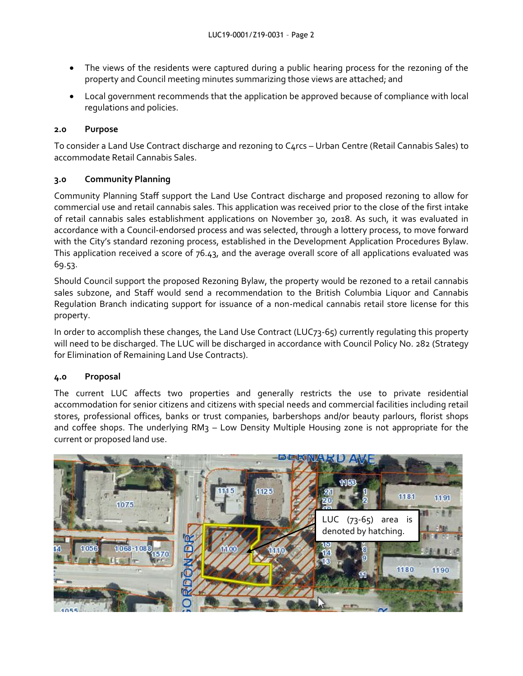- The views of the residents were captured during a public hearing process for the rezoning of the property and Council meeting minutes summarizing those views are attached; and
- Local government recommends that the application be approved because of compliance with local regulations and policies.

### **2.0 Purpose**

To consider a Land Use Contract discharge and rezoning to C4rcs – Urban Centre (Retail Cannabis Sales) to accommodate Retail Cannabis Sales.

#### **3.0 Community Planning**

Community Planning Staff support the Land Use Contract discharge and proposed rezoning to allow for commercial use and retail cannabis sales. This application was received prior to the close of the first intake of retail cannabis sales establishment applications on November 30, 2018. As such, it was evaluated in accordance with a Council-endorsed process and was selected, through a lottery process, to move forward with the City's standard rezoning process, established in the Development Application Procedures Bylaw. This application received a score of 76.43, and the average overall score of all applications evaluated was 69.53.

Should Council support the proposed Rezoning Bylaw, the property would be rezoned to a retail cannabis sales subzone, and Staff would send a recommendation to the British Columbia Liquor and Cannabis Regulation Branch indicating support for issuance of a non-medical cannabis retail store license for this property.

In order to accomplish these changes, the Land Use Contract (LUC73-65) currently regulating this property will need to be discharged. The LUC will be discharged in accordance with Council Policy No. 282 (Strategy for Elimination of Remaining Land Use Contracts).

# **4.0 Proposal**

The current LUC affects two properties and generally restricts the use to private residential accommodation for senior citizens and citizens with special needs and commercial facilities including retail stores, professional offices, banks or trust companies, barbershops and/or beauty parlours, florist shops and coffee shops. The underlying RM3 – Low Density Multiple Housing zone is not appropriate for the current or proposed land use.

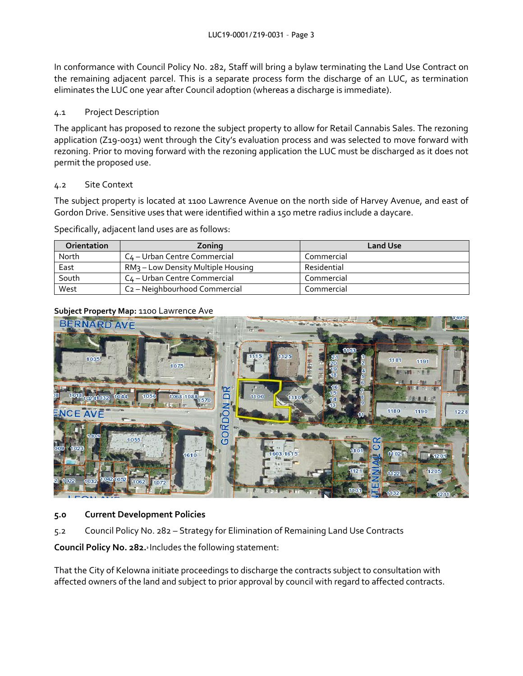In conformance with Council Policy No. 282, Staff will bring a bylaw terminating the Land Use Contract on the remaining adjacent parcel. This is a separate process form the discharge of an LUC, as termination eliminates the LUC one year after Council adoption (whereas a discharge is immediate).

#### 4.1 Project Description

The applicant has proposed to rezone the subject property to allow for Retail Cannabis Sales. The rezoning application (Z19-0031) went through the City's evaluation process and was selected to move forward with rezoning. Prior to moving forward with the rezoning application the LUC must be discharged as it does not permit the proposed use.

#### 4.2 Site Context

The subject property is located at 1100 Lawrence Avenue on the north side of Harvey Avenue, and east of Gordon Drive. Sensitive uses that were identified within a 15o metre radius include a daycare.

Specifically, adjacent land uses are as follows:

| <b>Orientation</b> | Zoning                                         | <b>Land Use</b> |
|--------------------|------------------------------------------------|-----------------|
| North              | C <sub>4</sub> – Urban Centre Commercial       | Commercial      |
| East               | RM <sub>3</sub> – Low Density Multiple Housing | Residential     |
| South              | C <sub>4</sub> – Urban Centre Commercial       | Commercial      |
| West               | C <sub>2</sub> – Neighbourhood Commercial      | Commercial      |

#### **Subject Property Map:** 1100 Lawrence Ave



# **5.0 Current Development Policies**

5.2 Council Policy No. 282 – Strategy for Elimination of Remaining Land Use Contracts

**Council Policy No. 282.<sup>2</sup>** Includes the following statement:

That the City of Kelowna initiate proceedings to discharge the contracts subject to consultation with affected owners of the land and subject to prior approval by council with regard to affected contracts.